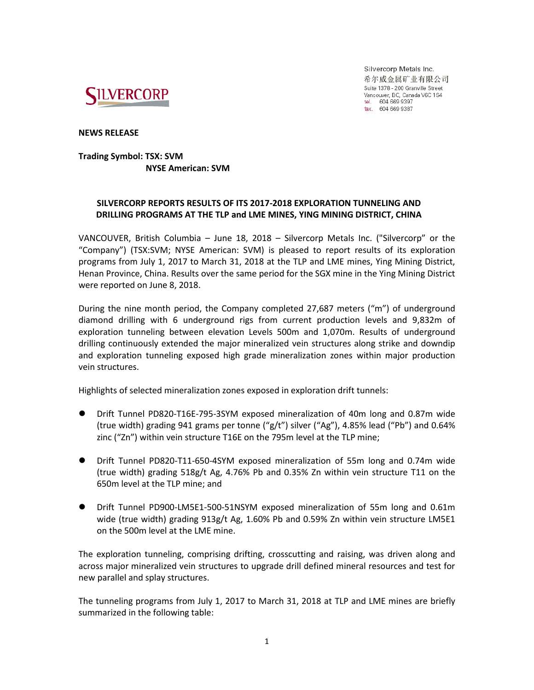

Silvercorp Metals Inc. 希尔威金属矿业有限公司 Suite 1378 - 200 Granville Street Vancouver, BC, Canada V6C 1S4 tel. 604 669 9397<br>fax. 604 669 9397

**NEWS RELEASE**

### **Trading Symbol: TSX: SVM NYSE American: SVM**

## **SILVERCORP REPORTS RESULTS OF ITS 2017-2018 EXPLORATION TUNNELING AND DRILLING PROGRAMS AT THE TLP and LME MINES, YING MINING DISTRICT, CHINA**

VANCOUVER, British Columbia – June 18, 2018 – Silvercorp Metals Inc. ("Silvercorp" or the "Company") (TSX:SVM; NYSE American: SVM) is pleased to report results of its exploration programs from July 1, 2017 to March 31, 2018 at the TLP and LME mines, Ying Mining District, Henan Province, China. Results over the same period for the SGX mine in the Ying Mining District were reported on June 8, 2018.

During the nine month period, the Company completed 27,687 meters ("m") of underground diamond drilling with 6 underground rigs from current production levels and 9,832m of exploration tunneling between elevation Levels 500m and 1,070m. Results of underground drilling continuously extended the major mineralized vein structures along strike and downdip and exploration tunneling exposed high grade mineralization zones within major production vein structures.

Highlights of selected mineralization zones exposed in exploration drift tunnels:

- Drift Tunnel PD820-T16E-795-3SYM exposed mineralization of 40m long and 0.87m wide (true width) grading 941 grams per tonne ("g/t") silver ("Ag"), 4.85% lead ("Pb") and 0.64% zinc ("Zn") within vein structure T16E on the 795m level at the TLP mine;
- Drift Tunnel PD820-T11-650-4SYM exposed mineralization of 55m long and 0.74m wide (true width) grading 518g/t Ag, 4.76% Pb and 0.35% Zn within vein structure T11 on the 650m level at the TLP mine; and
- Drift Tunnel PD900-LM5E1-500-51NSYM exposed mineralization of 55m long and 0.61m wide (true width) grading 913g/t Ag, 1.60% Pb and 0.59% Zn within vein structure LM5E1 on the 500m level at the LME mine.

The exploration tunneling, comprising drifting, crosscutting and raising, was driven along and across major mineralized vein structures to upgrade drill defined mineral resources and test for new parallel and splay structures.

The tunneling programs from July 1, 2017 to March 31, 2018 at TLP and LME mines are briefly summarized in the following table: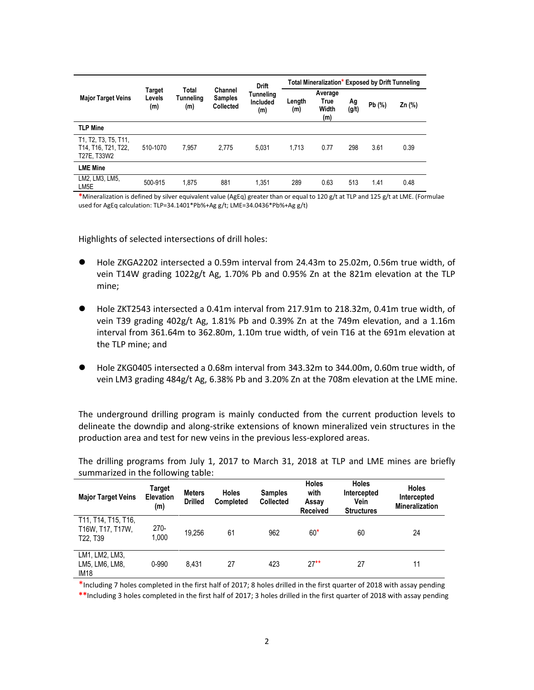|                                                            |                         |                           |                                        | <b>Drift</b>                 | Total Mineralization* Exposed by Drift Tunneling |                                 |             |        |        |
|------------------------------------------------------------|-------------------------|---------------------------|----------------------------------------|------------------------------|--------------------------------------------------|---------------------------------|-------------|--------|--------|
| <b>Major Target Veins</b>                                  | Target<br>Levels<br>(m) | Total<br>Tunneling<br>(m) | Channel<br><b>Samples</b><br>Collected | Tunneling<br>Included<br>(m) | Length<br>(m)                                    | Average<br>True<br>Width<br>(m) | Αg<br>(g/t) | Pb (%) | Zn (%) |
| <b>TLP Mine</b>                                            |                         |                           |                                        |                              |                                                  |                                 |             |        |        |
| T1, T2, T3, T5, T11,<br>T14, T16, T21, T22,<br>T27E. T33W2 | 510-1070                | 7.957                     | 2.775                                  | 5.031                        | 1.713                                            | 0.77                            | 298         | 3.61   | 0.39   |
| <b>LME Mine</b>                                            |                         |                           |                                        |                              |                                                  |                                 |             |        |        |
| LM2, LM3, LM5,<br>LM5E                                     | 500-915                 | 1.875                     | 881                                    | 1,351                        | 289                                              | 0.63                            | 513         | 1.41   | 0.48   |

**\***Mineralization is defined by silver equivalent value (AgEq) greater than or equal to 120 g/t at TLP and 125 g/t at LME. (Formulae used for AgEq calculation: TLP=34.1401\*Pb%+Ag g/t; LME=34.0436\*Pb%+Ag g/t)

Highlights of selected intersections of drill holes:

- Hole ZKGA2202 intersected a 0.59m interval from 24.43m to 25.02m, 0.56m true width, of vein T14W grading 1022g/t Ag, 1.70% Pb and 0.95% Zn at the 821m elevation at the TLP mine;
- Hole ZKT2543 intersected a 0.41m interval from 217.91m to 218.32m, 0.41m true width, of vein T39 grading 402g/t Ag, 1.81% Pb and 0.39% Zn at the 749m elevation, and a 1.16m interval from 361.64m to 362.80m, 1.10m true width, of vein T16 at the 691m elevation at the TLP mine; and
- Hole ZKG0405 intersected a 0.68m interval from 343.32m to 344.00m, 0.60m true width, of vein LM3 grading 484g/t Ag, 6.38% Pb and 3.20% Zn at the 708m elevation at the LME mine.

The underground drilling program is mainly conducted from the current production levels to delineate the downdip and along-strike extensions of known mineralized vein structures in the production area and test for new veins in the previous less-explored areas.

| <b>JUILIUS ILLUI III GILL TUILO IVILIA LUDICI.</b>  |                                   |                                 |                           |                                    |                                                  |                                                          |                                                      |
|-----------------------------------------------------|-----------------------------------|---------------------------------|---------------------------|------------------------------------|--------------------------------------------------|----------------------------------------------------------|------------------------------------------------------|
| <b>Major Target Veins</b>                           | Target<br><b>Elevation</b><br>(m) | <b>Meters</b><br><b>Drilled</b> | <b>Holes</b><br>Completed | <b>Samples</b><br><b>Collected</b> | <b>Holes</b><br>with<br>Assay<br><b>Received</b> | <b>Holes</b><br>Intercepted<br>Vein<br><b>Structures</b> | <b>Holes</b><br>Intercepted<br><b>Mineralization</b> |
| T11, T14, T15, T16,<br>T16W, T17, T17W,<br>T22, T39 | $270 -$<br>1.000                  | 19.256                          | 61                        | 962                                | $60*$                                            | 60                                                       | 24                                                   |
| LM1, LM2, LM3,<br>LM5, LM6, LM8,<br><b>IM18</b>     | $0 - 990$                         | 8.431                           | 27                        | 423                                | $27**$                                           | 27                                                       | 11                                                   |

The drilling programs from July 1, 2017 to March 31, 2018 at TLP and LME mines are briefly summarized in the following table:

\*Including 7 holes completed in the first half of 2017; 8 holes drilled in the first quarter of 2018 with assay pending

**\*\***Including 3 holes completed in the first half of 2017; 3 holes drilled in the first quarter of 2018 with assay pending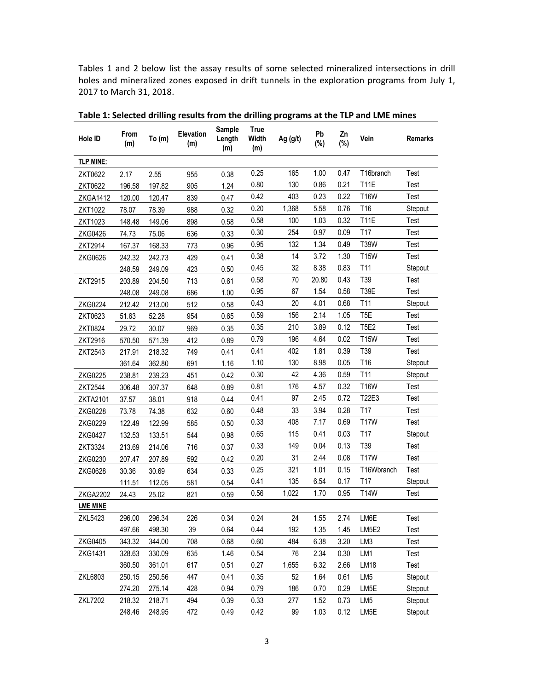Tables 1 and 2 below list the assay results of some selected mineralized intersections in drill holes and mineralized zones exposed in drift tunnels in the exploration programs from July 1, 2017 to March 31, 2018.

| Hole ID         | From<br>(m) | To $(m)$ | Elevation<br>(m) | Sample<br>Length<br>(m) | <b>True</b><br>Width<br>(m) | Ag $(g/t)$ | Pb<br>$(\%)$ | Zn<br>(%) | Vein            | Remarks |
|-----------------|-------------|----------|------------------|-------------------------|-----------------------------|------------|--------------|-----------|-----------------|---------|
| TLP MINE:       |             |          |                  |                         |                             |            |              |           |                 |         |
| ZKT0622         | 2.17        | 2.55     | 955              | 0.38                    | 0.25                        | 165        | 1.00         | 0.47      | T16branch       | Test    |
| ZKT0622         | 196.58      | 197.82   | 905              | 1.24                    | 0.80                        | 130        | 0.86         | 0.21      | <b>T11E</b>     | Test    |
| <b>ZKGA1412</b> | 120.00      | 120.47   | 839              | 0.47                    | 0.42                        | 403        | 0.23         | 0.22      | <b>T16W</b>     | Test    |
| ZKT1022         | 78.07       | 78.39    | 988              | 0.32                    | 0.20                        | 1,368      | 5.58         | 0.76      | T <sub>16</sub> | Stepout |
| ZKT1023         | 148.48      | 149.06   | 898              | 0.58                    | 0.58                        | 100        | 1.03         | 0.32      | <b>T11E</b>     | Test    |
| <b>ZKG0426</b>  | 74.73       | 75.06    | 636              | 0.33                    | 0.30                        | 254        | 0.97         | 0.09      | T17             | Test    |
| ZKT2914         | 167.37      | 168.33   | 773              | 0.96                    | 0.95                        | 132        | 1.34         | 0.49      | <b>T39W</b>     | Test    |
| ZKG0626         | 242.32      | 242.73   | 429              | 0.41                    | 0.38                        | 14         | 3.72         | 1.30      | <b>T15W</b>     | Test    |
|                 | 248.59      | 249.09   | 423              | 0.50                    | 0.45                        | 32         | 8.38         | 0.83      | T11             | Stepout |
| ZKT2915         | 203.89      | 204.50   | 713              | 0.61                    | 0.58                        | 70         | 20.80        | 0.43      | T39             | Test    |
|                 | 248.08      | 249.08   | 686              | 1.00                    | 0.95                        | 67         | 1.54         | 0.58      | <b>T39E</b>     | Test    |
| <b>ZKG0224</b>  | 212.42      | 213.00   | 512              | 0.58                    | 0.43                        | 20         | 4.01         | 0.68      | T11             | Stepout |
| ZKT0623         | 51.63       | 52.28    | 954              | 0.65                    | 0.59                        | 156        | 2.14         | 1.05      | T <sub>5E</sub> | Test    |
| ZKT0824         | 29.72       | 30.07    | 969              | 0.35                    | 0.35                        | 210        | 3.89         | 0.12      | <b>T5E2</b>     | Test    |
| ZKT2916         | 570.50      | 571.39   | 412              | 0.89                    | 0.79                        | 196        | 4.64         | 0.02      | <b>T15W</b>     | Test    |
| ZKT2543         | 217.91      | 218.32   | 749              | 0.41                    | 0.41                        | 402        | 1.81         | 0.39      | T39             | Test    |
|                 | 361.64      | 362.80   | 691              | 1.16                    | 1.10                        | 130        | 8.98         | 0.05      | T16             | Stepout |
| <b>ZKG0225</b>  | 238.81      | 239.23   | 451              | 0.42                    | 0.30                        | 42         | 4.36         | 0.59      | T11             | Stepout |
| ZKT2544         | 306.48      | 307.37   | 648              | 0.89                    | 0.81                        | 176        | 4.57         | 0.32      | <b>T16W</b>     | Test    |
| <b>ZKTA2101</b> | 37.57       | 38.01    | 918              | 0.44                    | 0.41                        | 97         | 2.45         | 0.72      | T22E3           | Test    |
| <b>ZKG0228</b>  | 73.78       | 74.38    | 632              | 0.60                    | 0.48                        | 33         | 3.94         | 0.28      | T17             | Test    |
| <b>ZKG0229</b>  | 122.49      | 122.99   | 585              | 0.50                    | 0.33                        | 408        | 7.17         | 0.69      | <b>T17W</b>     | Test    |
| <b>ZKG0427</b>  | 132.53      | 133.51   | 544              | 0.98                    | 0.65                        | 115        | 0.41         | 0.03      | T17             | Stepout |
| ZKT3324         | 213.69      | 214.06   | 716              | 0.37                    | 0.33                        | 149        | 0.04         | 0.13      | T39             | Test    |
| ZKG0230         | 207.47      | 207.89   | 592              | 0.42                    | 0.20                        | 31         | 2.44         | 0.08      | <b>T17W</b>     | Test    |
| ZKG0628         | 30.36       | 30.69    | 634              | 0.33                    | 0.25                        | 321        | 1.01         | 0.15      | T16Wbranch      | Test    |
|                 | 111.51      | 112.05   | 581              | 0.54                    | 0.41                        | 135        | 6.54         | 0.17      | T <sub>17</sub> | Stepout |
| <b>ZKGA2202</b> | 24.43       | 25.02    | 821              | 0.59                    | 0.56                        | 1,022      | 1.70         | 0.95      | <b>T14W</b>     | Test    |
| <b>LME MINE</b> |             |          |                  |                         |                             |            |              |           |                 |         |
| ZKL5423         | 296.00      | 296.34   | 226              | 0.34                    | 0.24                        | 24         | 1.55         | 2.74      | LM6E            | Test    |
|                 | 497.66      | 498.30   | 39               | 0.64                    | 0.44                        | 192        | 1.35         | 1.45      | LM5E2           | Test    |
| <b>ZKG0405</b>  | 343.32      | 344.00   | 708              | 0.68                    | 0.60                        | 484        | 6.38         | 3.20      | LM3             | Test    |
| <b>ZKG1431</b>  | 328.63      | 330.09   | 635              | 1.46                    | 0.54                        | 76         | 2.34         | 0.30      | LM1             | Test    |
|                 | 360.50      | 361.01   | 617              | 0.51                    | 0.27                        | 1,655      | 6.32         | 2.66      | LM18            | Test    |
| ZKL6803         | 250.15      | 250.56   | 447              | 0.41                    | 0.35                        | 52         | 1.64         | 0.61      | LM <sub>5</sub> | Stepout |
|                 | 274.20      | 275.14   | 428              | 0.94                    | 0.79                        | 186        | 0.70         | 0.29      | LM5E            | Stepout |
| <b>ZKL7202</b>  | 218.32      | 218.71   | 494              | 0.39                    | 0.33                        | 277        | 1.52         | 0.73      | LM <sub>5</sub> | Stepout |
|                 | 248.46      | 248.95   | 472              | 0.49                    | 0.42                        | 99         | 1.03         | 0.12      | LM5E            | Stepout |

**Table 1: Selected drilling results from the drilling programs at the TLP and LME mines**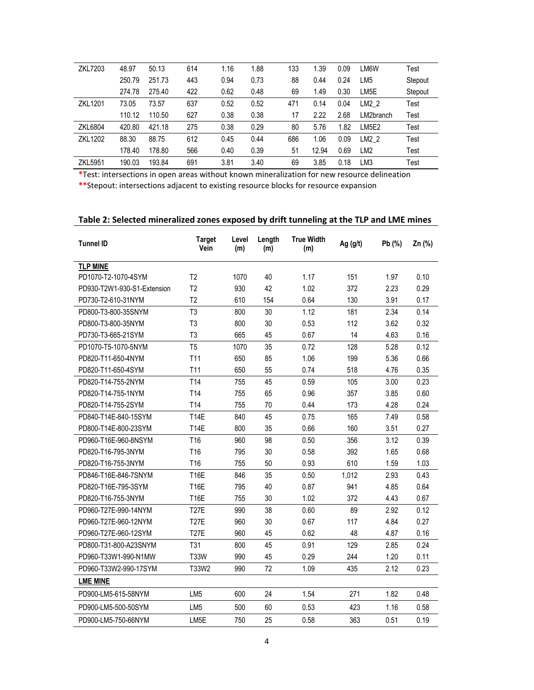| <b>ZKL7203</b> | 48.97  | 50.13  | 614 | 1.16 | 1.88 | 133 | 1.39  | 0.09 | LM6W            | Test    |
|----------------|--------|--------|-----|------|------|-----|-------|------|-----------------|---------|
|                | 250.79 | 251.73 | 443 | 0.94 | 0.73 | 88  | 0.44  | 0.24 | LM <sub>5</sub> | Stepout |
|                | 274.78 | 275.40 | 422 | 0.62 | 0.48 | 69  | 1.49  | 0.30 | LM5E            | Stepout |
| ZKL1201        | 73.05  | 73.57  | 637 | 0.52 | 0.52 | 471 | 0.14  | 0.04 | LM2 2           | Test    |
|                | 110.12 | 110.50 | 627 | 0.38 | 0.38 | 17  | 2.22  | 2.68 | LM2branch       | Test    |
| <b>ZKL6804</b> | 420.80 | 421.18 | 275 | 0.38 | 0.29 | 80  | 5.76  | 1.82 | LM5E2           | Test    |
| <b>ZKL1202</b> | 88.30  | 88.75  | 612 | 0.45 | 0.44 | 686 | 1.06  | 0.09 | LM2 2           | Test    |
|                | 178.40 | 178.80 | 566 | 0.40 | 0.39 | 51  | 12.94 | 0.69 | LM <sub>2</sub> | Test    |
| <b>ZKL5951</b> | 190.03 | 193.84 | 691 | 3.81 | 3.40 | 69  | 3.85  | 0.18 | LM3             | Test    |

**\***Test: intersections in open areas without known mineralization for new resource delineation **\*\***Stepout: intersections adjacent to existing resource blocks for resource expansion

# **Table 2: Selected mineralized zones exposed by drift tunneling at the TLP and LME mines**

| <b>TLP MINE</b><br>T <sub>2</sub><br>1070<br>40<br>1.17<br>151<br>1.97<br>PD1070-T2-1070-4SYM<br>0.10<br>T <sub>2</sub><br>930<br>42<br>1.02<br>PD930-T2W1-930-S1-Extension<br>372<br>2.23<br>0.29<br>T <sub>2</sub><br>610<br>0.64<br>130<br>3.91<br>0.17<br>PD730-T2-610-31NYM<br>154<br>T <sub>3</sub><br>PD800-T3-800-35SNYM<br>800<br>30<br>1.12<br>181<br>2.34<br>0.14<br>PD800-T3-800-35NYM<br>T <sub>3</sub><br>800<br>30<br>0.53<br>112<br>3.62<br>0.32<br>T <sub>3</sub><br>665<br>45<br>0.67<br>14<br>4.63<br>0.16<br>PD730-T3-665-21SYM<br>T <sub>5</sub><br>PD1070-T5-1070-5NYM<br>1070<br>35<br>0.72<br>128<br>5.28<br>0.12<br>PD820-T11-650-4NYM<br>T11<br>650<br>85<br>1.06<br>199<br>5.36<br>0.66<br>PD820-T11-650-4SYM<br>T11<br>650<br>55<br>0.74<br>518<br>0.35<br>4.76<br>T <sub>14</sub><br>PD820-T14-755-2NYM<br>755<br>45<br>0.59<br>105<br>3.00<br>0.23<br>T14<br>755<br>65<br>0.96<br>357<br>3.85<br>0.60<br>PD820-T14-755-1NYM<br>T14<br>70<br>173<br>4.28<br>0.24<br>PD820-T14-755-2SYM<br>755<br>0.44<br>PD840-T14E-840-15SYM<br><b>T14E</b><br>840<br>45<br>0.75<br>165<br>7.49<br>0.58<br>800<br>35<br>0.66<br>160<br>0.27<br>PD800-T14E-800-23SYM<br><b>T14E</b><br>3.51<br>T16<br>960<br>356<br>PD960-T16E-960-8NSYM<br>98<br>0.50<br>3.12<br>0.39<br>PD820-T16-795-3NYM<br>T16<br>795<br>30<br>0.58<br>392<br>1.65<br>0.68<br>T16<br>50<br>0.93<br>610<br>1.59<br>1.03<br>PD820-T16-755-3NYM<br>755<br>846<br>1,012<br>PD846-T16E-846-7SNYM<br><b>T16E</b><br>35<br>0.50<br>2.93<br>0.43<br>PD820-T16E-795-3SYM<br><b>T16E</b><br>795<br>40<br>0.87<br>941<br>4.85<br>0.64<br><b>T16E</b><br>1.02<br>372<br>0.67<br>PD820-T16-755-3NYM<br>755<br>30<br>4.43<br>PD960-T27E-990-14NYM<br><b>T27E</b><br>990<br>38<br>0.60<br>89<br>2.92<br>0.12<br><b>T27E</b><br>960<br>30<br>0.67<br>117<br>4.84<br>0.27<br>PD960-T27E-960-12NYM<br>0.62<br>48<br>PD960-T27E-960-12SYM<br><b>T27E</b><br>960<br>45<br>4.87<br>0.16<br>PD800-T31-800-A23SNYM<br>T31<br>800<br>45<br>0.91<br>129<br>2.85<br>0.24 | <b>Tunnel ID</b>     | <b>Target</b><br>Vein | Level<br>(m) | Length<br>(m) | <b>True Width</b><br>(m) | Ag $(g/t)$ | Pb (%) | Zn (%) |
|----------------------------------------------------------------------------------------------------------------------------------------------------------------------------------------------------------------------------------------------------------------------------------------------------------------------------------------------------------------------------------------------------------------------------------------------------------------------------------------------------------------------------------------------------------------------------------------------------------------------------------------------------------------------------------------------------------------------------------------------------------------------------------------------------------------------------------------------------------------------------------------------------------------------------------------------------------------------------------------------------------------------------------------------------------------------------------------------------------------------------------------------------------------------------------------------------------------------------------------------------------------------------------------------------------------------------------------------------------------------------------------------------------------------------------------------------------------------------------------------------------------------------------------------------------------------------------------------------------------------------------------------------------------------------------------------------------------------------------------------------------------------------------------------------------------------------------------------------------------------------------------------------------------------------------------------------------------------------------------------------------------------------------|----------------------|-----------------------|--------------|---------------|--------------------------|------------|--------|--------|
|                                                                                                                                                                                                                                                                                                                                                                                                                                                                                                                                                                                                                                                                                                                                                                                                                                                                                                                                                                                                                                                                                                                                                                                                                                                                                                                                                                                                                                                                                                                                                                                                                                                                                                                                                                                                                                                                                                                                                                                                                                  |                      |                       |              |               |                          |            |        |        |
|                                                                                                                                                                                                                                                                                                                                                                                                                                                                                                                                                                                                                                                                                                                                                                                                                                                                                                                                                                                                                                                                                                                                                                                                                                                                                                                                                                                                                                                                                                                                                                                                                                                                                                                                                                                                                                                                                                                                                                                                                                  |                      |                       |              |               |                          |            |        |        |
|                                                                                                                                                                                                                                                                                                                                                                                                                                                                                                                                                                                                                                                                                                                                                                                                                                                                                                                                                                                                                                                                                                                                                                                                                                                                                                                                                                                                                                                                                                                                                                                                                                                                                                                                                                                                                                                                                                                                                                                                                                  |                      |                       |              |               |                          |            |        |        |
|                                                                                                                                                                                                                                                                                                                                                                                                                                                                                                                                                                                                                                                                                                                                                                                                                                                                                                                                                                                                                                                                                                                                                                                                                                                                                                                                                                                                                                                                                                                                                                                                                                                                                                                                                                                                                                                                                                                                                                                                                                  |                      |                       |              |               |                          |            |        |        |
|                                                                                                                                                                                                                                                                                                                                                                                                                                                                                                                                                                                                                                                                                                                                                                                                                                                                                                                                                                                                                                                                                                                                                                                                                                                                                                                                                                                                                                                                                                                                                                                                                                                                                                                                                                                                                                                                                                                                                                                                                                  |                      |                       |              |               |                          |            |        |        |
|                                                                                                                                                                                                                                                                                                                                                                                                                                                                                                                                                                                                                                                                                                                                                                                                                                                                                                                                                                                                                                                                                                                                                                                                                                                                                                                                                                                                                                                                                                                                                                                                                                                                                                                                                                                                                                                                                                                                                                                                                                  |                      |                       |              |               |                          |            |        |        |
|                                                                                                                                                                                                                                                                                                                                                                                                                                                                                                                                                                                                                                                                                                                                                                                                                                                                                                                                                                                                                                                                                                                                                                                                                                                                                                                                                                                                                                                                                                                                                                                                                                                                                                                                                                                                                                                                                                                                                                                                                                  |                      |                       |              |               |                          |            |        |        |
|                                                                                                                                                                                                                                                                                                                                                                                                                                                                                                                                                                                                                                                                                                                                                                                                                                                                                                                                                                                                                                                                                                                                                                                                                                                                                                                                                                                                                                                                                                                                                                                                                                                                                                                                                                                                                                                                                                                                                                                                                                  |                      |                       |              |               |                          |            |        |        |
|                                                                                                                                                                                                                                                                                                                                                                                                                                                                                                                                                                                                                                                                                                                                                                                                                                                                                                                                                                                                                                                                                                                                                                                                                                                                                                                                                                                                                                                                                                                                                                                                                                                                                                                                                                                                                                                                                                                                                                                                                                  |                      |                       |              |               |                          |            |        |        |
|                                                                                                                                                                                                                                                                                                                                                                                                                                                                                                                                                                                                                                                                                                                                                                                                                                                                                                                                                                                                                                                                                                                                                                                                                                                                                                                                                                                                                                                                                                                                                                                                                                                                                                                                                                                                                                                                                                                                                                                                                                  |                      |                       |              |               |                          |            |        |        |
|                                                                                                                                                                                                                                                                                                                                                                                                                                                                                                                                                                                                                                                                                                                                                                                                                                                                                                                                                                                                                                                                                                                                                                                                                                                                                                                                                                                                                                                                                                                                                                                                                                                                                                                                                                                                                                                                                                                                                                                                                                  |                      |                       |              |               |                          |            |        |        |
|                                                                                                                                                                                                                                                                                                                                                                                                                                                                                                                                                                                                                                                                                                                                                                                                                                                                                                                                                                                                                                                                                                                                                                                                                                                                                                                                                                                                                                                                                                                                                                                                                                                                                                                                                                                                                                                                                                                                                                                                                                  |                      |                       |              |               |                          |            |        |        |
|                                                                                                                                                                                                                                                                                                                                                                                                                                                                                                                                                                                                                                                                                                                                                                                                                                                                                                                                                                                                                                                                                                                                                                                                                                                                                                                                                                                                                                                                                                                                                                                                                                                                                                                                                                                                                                                                                                                                                                                                                                  |                      |                       |              |               |                          |            |        |        |
|                                                                                                                                                                                                                                                                                                                                                                                                                                                                                                                                                                                                                                                                                                                                                                                                                                                                                                                                                                                                                                                                                                                                                                                                                                                                                                                                                                                                                                                                                                                                                                                                                                                                                                                                                                                                                                                                                                                                                                                                                                  |                      |                       |              |               |                          |            |        |        |
|                                                                                                                                                                                                                                                                                                                                                                                                                                                                                                                                                                                                                                                                                                                                                                                                                                                                                                                                                                                                                                                                                                                                                                                                                                                                                                                                                                                                                                                                                                                                                                                                                                                                                                                                                                                                                                                                                                                                                                                                                                  |                      |                       |              |               |                          |            |        |        |
|                                                                                                                                                                                                                                                                                                                                                                                                                                                                                                                                                                                                                                                                                                                                                                                                                                                                                                                                                                                                                                                                                                                                                                                                                                                                                                                                                                                                                                                                                                                                                                                                                                                                                                                                                                                                                                                                                                                                                                                                                                  |                      |                       |              |               |                          |            |        |        |
|                                                                                                                                                                                                                                                                                                                                                                                                                                                                                                                                                                                                                                                                                                                                                                                                                                                                                                                                                                                                                                                                                                                                                                                                                                                                                                                                                                                                                                                                                                                                                                                                                                                                                                                                                                                                                                                                                                                                                                                                                                  |                      |                       |              |               |                          |            |        |        |
|                                                                                                                                                                                                                                                                                                                                                                                                                                                                                                                                                                                                                                                                                                                                                                                                                                                                                                                                                                                                                                                                                                                                                                                                                                                                                                                                                                                                                                                                                                                                                                                                                                                                                                                                                                                                                                                                                                                                                                                                                                  |                      |                       |              |               |                          |            |        |        |
|                                                                                                                                                                                                                                                                                                                                                                                                                                                                                                                                                                                                                                                                                                                                                                                                                                                                                                                                                                                                                                                                                                                                                                                                                                                                                                                                                                                                                                                                                                                                                                                                                                                                                                                                                                                                                                                                                                                                                                                                                                  |                      |                       |              |               |                          |            |        |        |
|                                                                                                                                                                                                                                                                                                                                                                                                                                                                                                                                                                                                                                                                                                                                                                                                                                                                                                                                                                                                                                                                                                                                                                                                                                                                                                                                                                                                                                                                                                                                                                                                                                                                                                                                                                                                                                                                                                                                                                                                                                  |                      |                       |              |               |                          |            |        |        |
|                                                                                                                                                                                                                                                                                                                                                                                                                                                                                                                                                                                                                                                                                                                                                                                                                                                                                                                                                                                                                                                                                                                                                                                                                                                                                                                                                                                                                                                                                                                                                                                                                                                                                                                                                                                                                                                                                                                                                                                                                                  |                      |                       |              |               |                          |            |        |        |
|                                                                                                                                                                                                                                                                                                                                                                                                                                                                                                                                                                                                                                                                                                                                                                                                                                                                                                                                                                                                                                                                                                                                                                                                                                                                                                                                                                                                                                                                                                                                                                                                                                                                                                                                                                                                                                                                                                                                                                                                                                  |                      |                       |              |               |                          |            |        |        |
|                                                                                                                                                                                                                                                                                                                                                                                                                                                                                                                                                                                                                                                                                                                                                                                                                                                                                                                                                                                                                                                                                                                                                                                                                                                                                                                                                                                                                                                                                                                                                                                                                                                                                                                                                                                                                                                                                                                                                                                                                                  |                      |                       |              |               |                          |            |        |        |
|                                                                                                                                                                                                                                                                                                                                                                                                                                                                                                                                                                                                                                                                                                                                                                                                                                                                                                                                                                                                                                                                                                                                                                                                                                                                                                                                                                                                                                                                                                                                                                                                                                                                                                                                                                                                                                                                                                                                                                                                                                  |                      |                       |              |               |                          |            |        |        |
|                                                                                                                                                                                                                                                                                                                                                                                                                                                                                                                                                                                                                                                                                                                                                                                                                                                                                                                                                                                                                                                                                                                                                                                                                                                                                                                                                                                                                                                                                                                                                                                                                                                                                                                                                                                                                                                                                                                                                                                                                                  |                      |                       |              |               |                          |            |        |        |
|                                                                                                                                                                                                                                                                                                                                                                                                                                                                                                                                                                                                                                                                                                                                                                                                                                                                                                                                                                                                                                                                                                                                                                                                                                                                                                                                                                                                                                                                                                                                                                                                                                                                                                                                                                                                                                                                                                                                                                                                                                  | PD960-T33W1-990-N1MW | <b>T33W</b>           | 990          | 45            | 0.29                     | 244        | 1.20   | 0.11   |
| PD960-T33W2-990-17SYM<br>T33W2<br>990<br>72<br>1.09<br>435<br>2.12<br>0.23                                                                                                                                                                                                                                                                                                                                                                                                                                                                                                                                                                                                                                                                                                                                                                                                                                                                                                                                                                                                                                                                                                                                                                                                                                                                                                                                                                                                                                                                                                                                                                                                                                                                                                                                                                                                                                                                                                                                                       |                      |                       |              |               |                          |            |        |        |
| <b>LME MINE</b>                                                                                                                                                                                                                                                                                                                                                                                                                                                                                                                                                                                                                                                                                                                                                                                                                                                                                                                                                                                                                                                                                                                                                                                                                                                                                                                                                                                                                                                                                                                                                                                                                                                                                                                                                                                                                                                                                                                                                                                                                  |                      |                       |              |               |                          |            |        |        |
| PD900-LM5-615-58NYM<br>LM <sub>5</sub><br>600<br>24<br>1.54<br>271<br>1.82<br>0.48                                                                                                                                                                                                                                                                                                                                                                                                                                                                                                                                                                                                                                                                                                                                                                                                                                                                                                                                                                                                                                                                                                                                                                                                                                                                                                                                                                                                                                                                                                                                                                                                                                                                                                                                                                                                                                                                                                                                               |                      |                       |              |               |                          |            |        |        |
| 500<br>0.53<br>423<br>1.16<br>PD900-LM5-500-50SYM<br>LM <sub>5</sub><br>60<br>0.58                                                                                                                                                                                                                                                                                                                                                                                                                                                                                                                                                                                                                                                                                                                                                                                                                                                                                                                                                                                                                                                                                                                                                                                                                                                                                                                                                                                                                                                                                                                                                                                                                                                                                                                                                                                                                                                                                                                                               |                      |                       |              |               |                          |            |        |        |
| PD900-LM5-750-66NYM<br>LM5E<br>750<br>25<br>0.58<br>363<br>0.51<br>0.19                                                                                                                                                                                                                                                                                                                                                                                                                                                                                                                                                                                                                                                                                                                                                                                                                                                                                                                                                                                                                                                                                                                                                                                                                                                                                                                                                                                                                                                                                                                                                                                                                                                                                                                                                                                                                                                                                                                                                          |                      |                       |              |               |                          |            |        |        |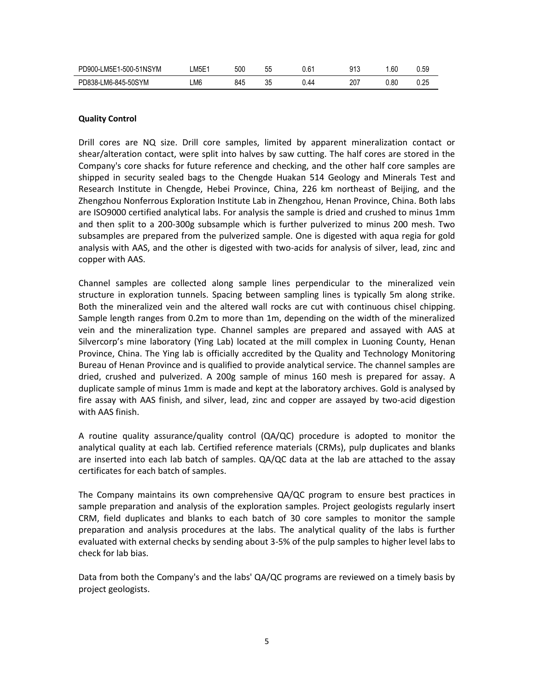| PD900-LM5E1-500-51NSYM | M5E1- | 500 | $\mathbf{h}$<br>vu | 0.6 <sup>.</sup> | 913 | .60  | 0.59        |
|------------------------|-------|-----|--------------------|------------------|-----|------|-------------|
| PD838-LM6-845-50SYM    | _M6   | 845 | つに<br>vu           |                  | 207 | ე.80 | 195<br>u.zu |

#### **Quality Control**

Drill cores are NQ size. Drill core samples, limited by apparent mineralization contact or shear/alteration contact, were split into halves by saw cutting. The half cores are stored in the Company's core shacks for future reference and checking, and the other half core samples are shipped in security sealed bags to the Chengde Huakan 514 Geology and Minerals Test and Research Institute in Chengde, Hebei Province, China, 226 km northeast of Beijing, and the Zhengzhou Nonferrous Exploration Institute Lab in Zhengzhou, Henan Province, China. Both labs are ISO9000 certified analytical labs. For analysis the sample is dried and crushed to minus 1mm and then split to a 200-300g subsample which is further pulverized to minus 200 mesh. Two subsamples are prepared from the pulverized sample. One is digested with aqua regia for gold analysis with AAS, and the other is digested with two-acids for analysis of silver, lead, zinc and copper with AAS.

Channel samples are collected along sample lines perpendicular to the mineralized vein structure in exploration tunnels. Spacing between sampling lines is typically 5m along strike. Both the mineralized vein and the altered wall rocks are cut with continuous chisel chipping. Sample length ranges from 0.2m to more than 1m, depending on the width of the mineralized vein and the mineralization type. Channel samples are prepared and assayed with AAS at Silvercorp's mine laboratory (Ying Lab) located at the mill complex in Luoning County, Henan Province, China. The Ying lab is officially accredited by the Quality and Technology Monitoring Bureau of Henan Province and is qualified to provide analytical service. The channel samples are dried, crushed and pulverized. A 200g sample of minus 160 mesh is prepared for assay. A duplicate sample of minus 1mm is made and kept at the laboratory archives. Gold is analysed by fire assay with AAS finish, and silver, lead, zinc and copper are assayed by two-acid digestion with AAS finish.

A routine quality assurance/quality control (QA/QC) procedure is adopted to monitor the analytical quality at each lab. Certified reference materials (CRMs), pulp duplicates and blanks are inserted into each lab batch of samples. QA/QC data at the lab are attached to the assay certificates for each batch of samples.

The Company maintains its own comprehensive QA/QC program to ensure best practices in sample preparation and analysis of the exploration samples. Project geologists regularly insert CRM, field duplicates and blanks to each batch of 30 core samples to monitor the sample preparation and analysis procedures at the labs. The analytical quality of the labs is further evaluated with external checks by sending about 3-5% of the pulp samples to higher level labs to check for lab bias.

Data from both the Company's and the labs' QA/QC programs are reviewed on a timely basis by project geologists.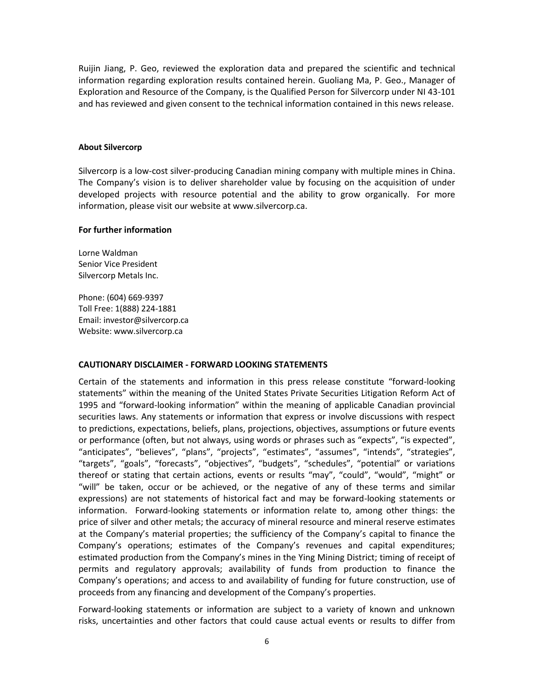Ruijin Jiang, P. Geo, reviewed the exploration data and prepared the scientific and technical information regarding exploration results contained herein. Guoliang Ma, P. Geo., Manager of Exploration and Resource of the Company, is the Qualified Person for Silvercorp under NI 43-101 and has reviewed and given consent to the technical information contained in this news release.

#### **About Silvercorp**

Silvercorp is a low-cost silver-producing Canadian mining company with multiple mines in China. The Company's vision is to deliver shareholder value by focusing on the acquisition of under developed projects with resource potential and the ability to grow organically. For more information, please visit our website at www.silvercorp.ca.

#### **For further information**

Lorne Waldman Senior Vice President Silvercorp Metals Inc.

Phone: (604) 669-9397 Toll Free: 1(888) 224-1881 Email: investor@silvercorp.ca Website: www.silvercorp.ca

#### **CAUTIONARY DISCLAIMER - FORWARD LOOKING STATEMENTS**

Certain of the statements and information in this press release constitute "forward-looking statements" within the meaning of the United States Private Securities Litigation Reform Act of 1995 and "forward-looking information" within the meaning of applicable Canadian provincial securities laws. Any statements or information that express or involve discussions with respect to predictions, expectations, beliefs, plans, projections, objectives, assumptions or future events or performance (often, but not always, using words or phrases such as "expects", "is expected", "anticipates", "believes", "plans", "projects", "estimates", "assumes", "intends", "strategies", "targets", "goals", "forecasts", "objectives", "budgets", "schedules", "potential" or variations thereof or stating that certain actions, events or results "may", "could", "would", "might" or "will" be taken, occur or be achieved, or the negative of any of these terms and similar expressions) are not statements of historical fact and may be forward-looking statements or information. Forward-looking statements or information relate to, among other things: the price of silver and other metals; the accuracy of mineral resource and mineral reserve estimates at the Company's material properties; the sufficiency of the Company's capital to finance the Company's operations; estimates of the Company's revenues and capital expenditures; estimated production from the Company's mines in the Ying Mining District; timing of receipt of permits and regulatory approvals; availability of funds from production to finance the Company's operations; and access to and availability of funding for future construction, use of proceeds from any financing and development of the Company's properties.

Forward-looking statements or information are subject to a variety of known and unknown risks, uncertainties and other factors that could cause actual events or results to differ from